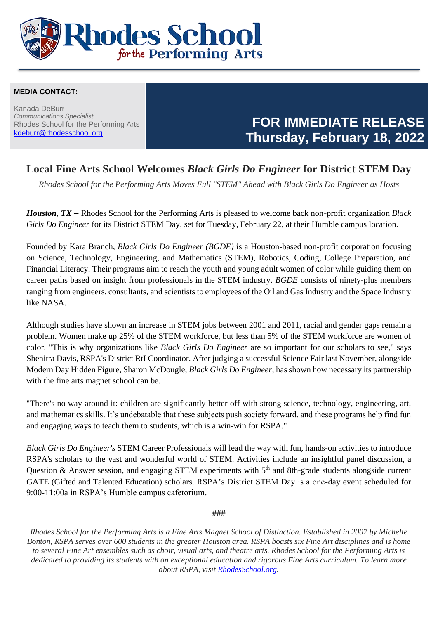

#### **MEDIA CONTACT:**

Kanada DeBurr *Communications Specialist* Rhodes School for the Performing Arts [kdeburr@rhodesschool.org](mailto:kdeburr@rhodesschool.org)

## **FOR IMMEDIATE RELEASE Thursday, February 18, 2022**

### **Local Fine Arts School Welcomes** *Black Girls Do Engineer* **for District STEM Day**

*Rhodes School for the Performing Arts Moves Full "STEM" Ahead with Black Girls Do Engineer as Hosts*

*Houston, TX –* Rhodes School for the Performing Arts is pleased to welcome back non-profit organization *Black Girls Do Engineer* for its District STEM Day, set for Tuesday, February 22, at their Humble campus location.

Founded by Kara Branch, *Black Girls Do Engineer (BGDE)* is a Houston-based non-profit corporation focusing on Science, Technology, Engineering, and Mathematics (STEM), Robotics, Coding, College Preparation, and Financial Literacy. Their programs aim to reach the youth and young adult women of color while guiding them on career paths based on insight from professionals in the STEM industry. *BGDE* consists of ninety-plus members ranging from engineers, consultants, and scientists to employees of the Oil and Gas Industry and the Space Industry like NASA.

Although studies have shown an increase in STEM jobs between 2001 and 2011, racial and gender gaps remain a problem. Women make up 25% of the STEM workforce, but less than 5% of the STEM workforce are women of color. "This is why organizations like *Black Girls Do Engineer* are so important for our scholars to see," says Shenitra Davis, RSPA's District RtI Coordinator. After judging a successful Science Fair last November, alongside Modern Day Hidden Figure, Sharon McDougle, *Black Girls Do Engineer,* has shown how necessary its partnership with the fine arts magnet school can be.

"There's no way around it: children are significantly better off with strong science, technology, engineering, art, and mathematics skills. It's undebatable that these subjects push society forward, and these programs help find fun and engaging ways to teach them to students, which is a win-win for RSPA."

*Black Girls Do Engineer's* STEM Career Professionals will lead the way with fun, hands-on activities to introduce RSPA's scholars to the vast and wonderful world of STEM. Activities include an insightful panel discussion, a Question & Answer session, and engaging STEM experiments with  $5<sup>th</sup>$  and 8th-grade students alongside current GATE (Gifted and Talented Education) scholars. RSPA's District STEM Day is a one-day event scheduled for 9:00-11:00a in RSPA's Humble campus cafetorium.

**###**

*Rhodes School for the Performing Arts is a Fine Arts Magnet School of Distinction. Established in 2007 by Michelle Bonton, RSPA serves over 600 students in the greater Houston area. RSPA boasts six Fine Art disciplines and is home to several Fine Art ensembles such as choir, visual arts, and theatre arts. Rhodes School for the Performing Arts is dedicated to providing its students with an exceptional education and rigorous Fine Arts curriculum. To learn more about RSPA, visit [RhodesSchool.org.](file:///C:/Users/kdeburr/Documents/COMMUNICATIONS/Press%20Releases/rhodesschool.org)*